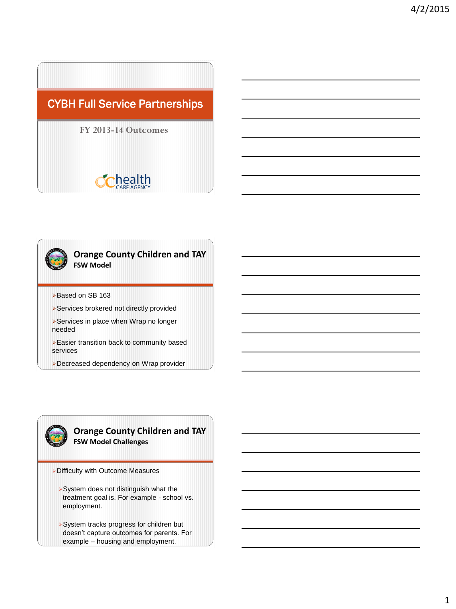## CYBH Full Service Partnerships

#### **FY 2013-14 Outcomes**

# **health**



#### **Orange County Children and TAY FSW Model**

- Based on SB 163
- Services brokered not directly provided
- Services in place when Wrap no longer needed
- Easier transition back to community based services
- Decreased dependency on Wrap provider



#### **Orange County Children and TAY FSW Model Challenges**

- Difficulty with Outcome Measures
	- System does not distinguish what the treatment goal is. For example - school vs. employment.
	- System tracks progress for children but doesn't capture outcomes for parents. For example – housing and employment.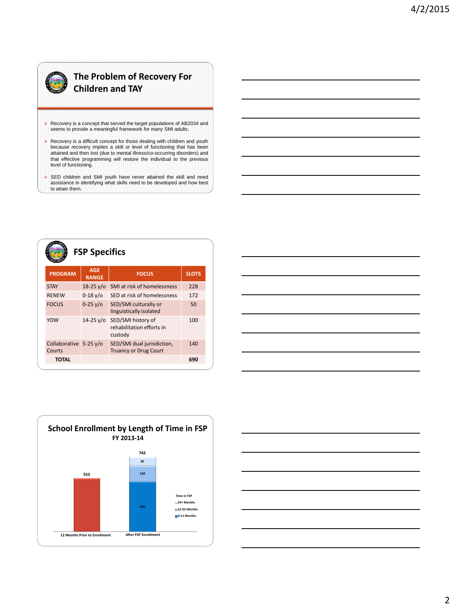### **The Problem of Recovery For Children and TAY**

- Recovery is a concept that served the target populations of AB2034 and seems to provide a meaningful framework for many SMI adults.
- Recovery is a difficult concept for those dealing with children and youth because recovery implies a skill or level of functioning that has been attained and then lost (due to mental illness/co-occurring disorders) and that effective programming will restore the individual to the previous level of functioning.
- SED children and SMI youth have never attained the skill and need assistance in identifying what skills need to be developed and how best to attain them.

| <b>FSP Specifics</b>                       |                            |                                                            |              |
|--------------------------------------------|----------------------------|------------------------------------------------------------|--------------|
| <b>PROGRAM</b>                             | <b>AGE</b><br><b>RANGE</b> | <b>FOCUS</b>                                               | <b>SLOTS</b> |
| <b>STAY</b>                                | $18-25 \text{ V}$ o        | SMI at risk of homelessness                                | 228          |
| <b>RENEW</b>                               | $0 - 18$ y/o               | SED at risk of homelessness                                | 172          |
| <b>FOCUS</b>                               | $0 - 25y/6$                | SED/SMI culturally or<br>linguistically isolated           | 50           |
| <b>YOW</b>                                 | $14 - 25 \sqrt{0}$         | SED/SMI history of<br>rehabilitation efforts in<br>custody | 100          |
| Collaborative $5-25 \text{ y/o}$<br>Courts |                            | SED/SMI dual jurisdiction,<br><b>Truancy or Drug Court</b> | 140          |
| <b>TOTAL</b>                               |                            |                                                            | 690          |





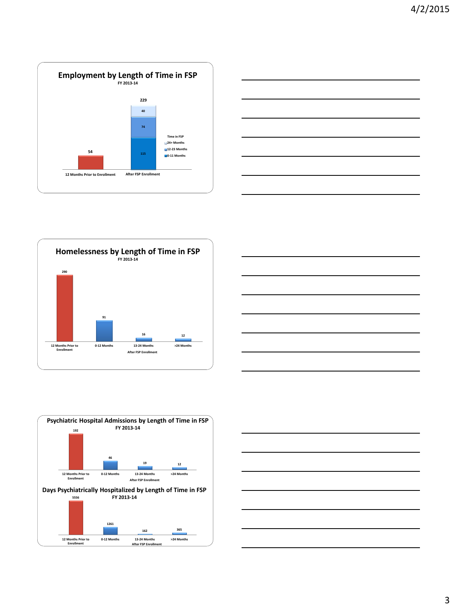